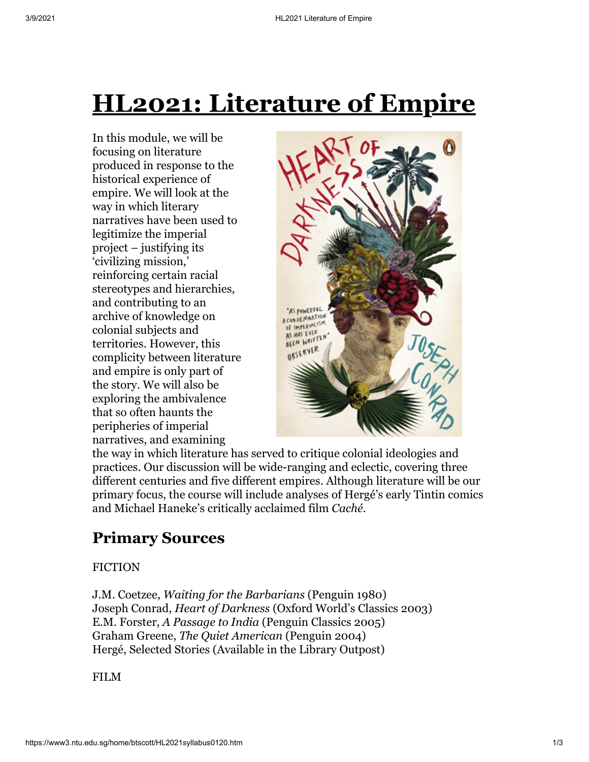# **HL2021: Literature of Empire**

In this module, we will be focusing on literature produced in response to the historical experience of empire. We will look at the way in which literary narratives have been used to legitimize the imperial project – justifying its 'civilizing mission,' reinforcing certain racial stereotypes and hierarchies, and contributing to an archive of knowledge on colonial subjects and territories. However, this complicity between literature and empire is only part of the story. We will also be exploring the ambivalence that so often haunts the peripheries of imperial narratives, and examining



the way in which literature has served to critique colonial ideologies and practices. Our discussion will be wide-ranging and eclectic, covering three different centuries and five different empires. Although literature will be our primary focus, the course will include analyses of Hergé's early Tintin comics and Michael Haneke's critically acclaimed film *Caché*.

## **Primary Sources**

#### FICTION

J.M. Coetzee, *Waiting for the Barbarians* (Penguin 1980) Joseph Conrad, *Heart of Darkness* (Oxford World's Classics 2003) E.M. Forster, *A Passage to India* (Penguin Classics 2005) Graham Greene, *The Quiet American* (Penguin 2004) Hergé, Selected Stories (Available in the Library Outpost)

FILM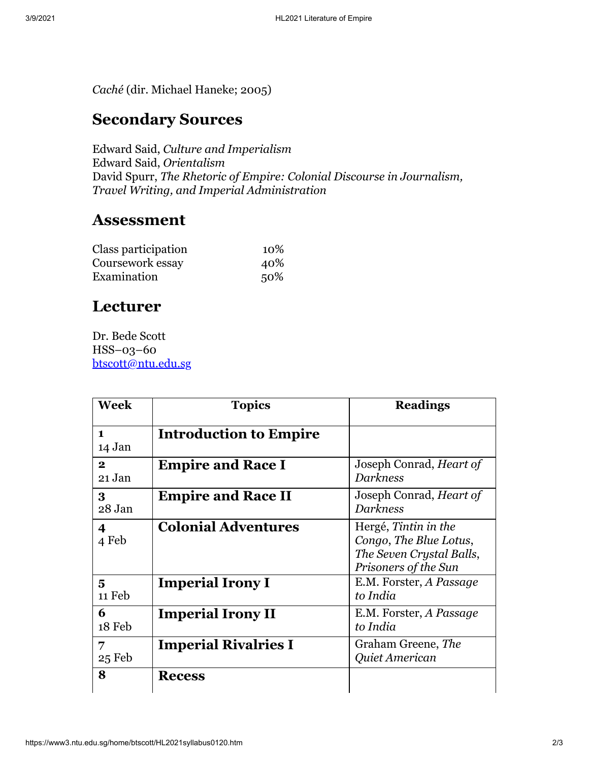*Caché* (dir. Michael Haneke; 2005)

### **Secondary Sources**

Edward Said, *Culture and Imperialism* Edward Said, *Orientalism* David Spurr, *The Rhetoric of Empire: Colonial Discourse in Journalism, Travel Writing, and Imperial Administration*

#### **Assessment**

| Class participation | 10% |
|---------------------|-----|
| Coursework essay    | 40% |
| Examination         | 50% |

### **Lecturer**

Dr. Bede Scott HSS–03–60 [btscott@ntu.edu.sg](mailto:btscott@ntu.edu.sg)

| <b>Week</b>              | <b>Topics</b>                 | <b>Readings</b>                                                                                    |
|--------------------------|-------------------------------|----------------------------------------------------------------------------------------------------|
| $\mathbf{1}$<br>14 Jan   | <b>Introduction to Empire</b> |                                                                                                    |
| $\mathbf{2}$<br>21 Jan   | <b>Empire and Race I</b>      | Joseph Conrad, <i>Heart of</i><br><b>Darkness</b>                                                  |
| 3 <sup>°</sup><br>28 Jan | <b>Empire and Race II</b>     | Joseph Conrad, Heart of<br><b>Darkness</b>                                                         |
| 4<br>4 Feb               | <b>Colonial Adventures</b>    | Hergé, Tintin in the<br>Congo, The Blue Lotus,<br>The Seven Crystal Balls,<br>Prisoners of the Sun |
| 5<br>11 Feb              | <b>Imperial Irony I</b>       | E.M. Forster, A Passage<br>to India                                                                |
| 6<br>18 Feb              | <b>Imperial Irony II</b>      | E.M. Forster, A Passage<br>to India                                                                |
| 7<br>25 Feb              | <b>Imperial Rivalries I</b>   | Graham Greene, The<br>Quiet American                                                               |
| 8                        | <b>Recess</b>                 |                                                                                                    |